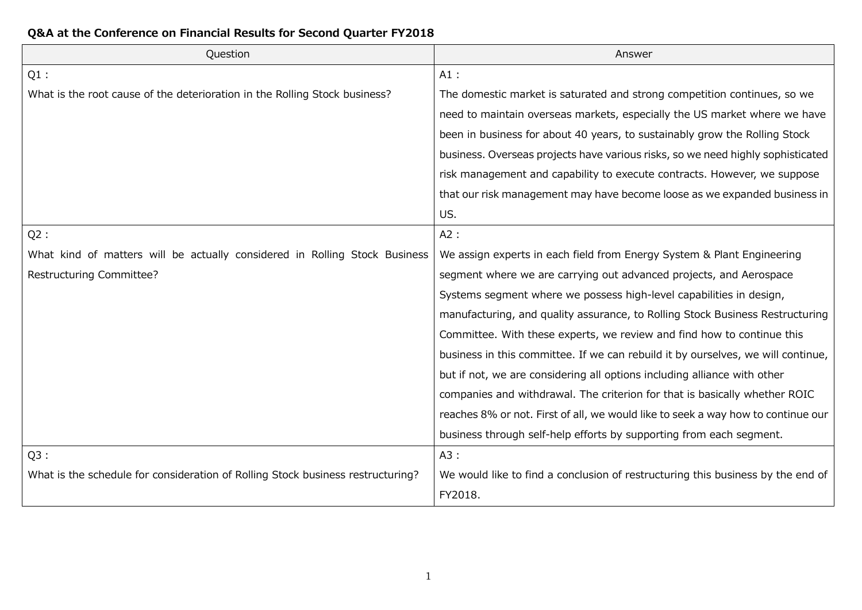| Question                                                                        | Answer                                                                           |
|---------------------------------------------------------------------------------|----------------------------------------------------------------------------------|
| $Q1$ :                                                                          | $A1$ :                                                                           |
| What is the root cause of the deterioration in the Rolling Stock business?      | The domestic market is saturated and strong competition continues, so we         |
|                                                                                 | need to maintain overseas markets, especially the US market where we have        |
|                                                                                 | been in business for about 40 years, to sustainably grow the Rolling Stock       |
|                                                                                 | business. Overseas projects have various risks, so we need highly sophisticated  |
|                                                                                 | risk management and capability to execute contracts. However, we suppose         |
|                                                                                 | that our risk management may have become loose as we expanded business in        |
|                                                                                 | US.                                                                              |
| Q2:                                                                             | A2:                                                                              |
| What kind of matters will be actually considered in Rolling Stock Business      | We assign experts in each field from Energy System & Plant Engineering           |
| Restructuring Committee?                                                        | segment where we are carrying out advanced projects, and Aerospace               |
|                                                                                 | Systems segment where we possess high-level capabilities in design,              |
|                                                                                 | manufacturing, and quality assurance, to Rolling Stock Business Restructuring    |
|                                                                                 | Committee. With these experts, we review and find how to continue this           |
|                                                                                 | business in this committee. If we can rebuild it by ourselves, we will continue, |
|                                                                                 | but if not, we are considering all options including alliance with other         |
|                                                                                 | companies and withdrawal. The criterion for that is basically whether ROIC       |
|                                                                                 | reaches 8% or not. First of all, we would like to seek a way how to continue our |
|                                                                                 | business through self-help efforts by supporting from each segment.              |
| $Q3$ :                                                                          | A3:                                                                              |
| What is the schedule for consideration of Rolling Stock business restructuring? | We would like to find a conclusion of restructuring this business by the end of  |
|                                                                                 | FY2018.                                                                          |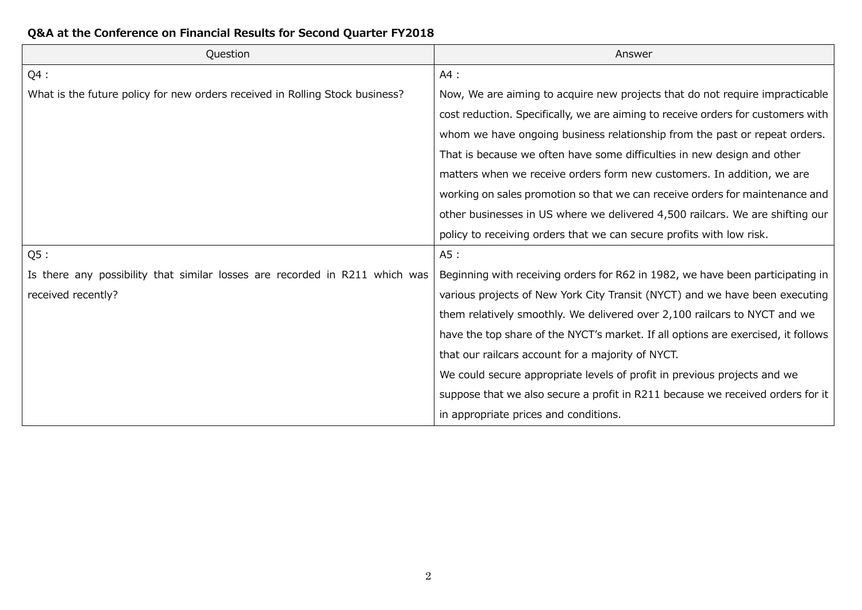| Question                                                                     | Answer                                                                            |
|------------------------------------------------------------------------------|-----------------------------------------------------------------------------------|
| $Q4$ :                                                                       | AA:                                                                               |
| What is the future policy for new orders received in Rolling Stock business? | Now, We are aiming to acquire new projects that do not require impracticable      |
|                                                                              | cost reduction. Specifically, we are aiming to receive orders for customers with  |
|                                                                              | whom we have ongoing business relationship from the past or repeat orders.        |
|                                                                              | That is because we often have some difficulties in new design and other           |
|                                                                              | matters when we receive orders form new customers. In addition, we are            |
|                                                                              | working on sales promotion so that we can receive orders for maintenance and      |
|                                                                              | other businesses in US where we delivered 4,500 railcars. We are shifting our     |
|                                                                              | policy to receiving orders that we can secure profits with low risk.              |
| Q5:                                                                          | A5:                                                                               |
| Is there any possibility that similar losses are recorded in R211 which was  | Beginning with receiving orders for R62 in 1982, we have been participating in    |
| received recently?                                                           | various projects of New York City Transit (NYCT) and we have been executing       |
|                                                                              | them relatively smoothly. We delivered over 2,100 railcars to NYCT and we         |
|                                                                              | have the top share of the NYCT's market. If all options are exercised, it follows |
|                                                                              | that our railcars account for a majority of NYCT.                                 |
|                                                                              | We could secure appropriate levels of profit in previous projects and we          |
|                                                                              | suppose that we also secure a profit in R211 because we received orders for it    |
|                                                                              | in appropriate prices and conditions.                                             |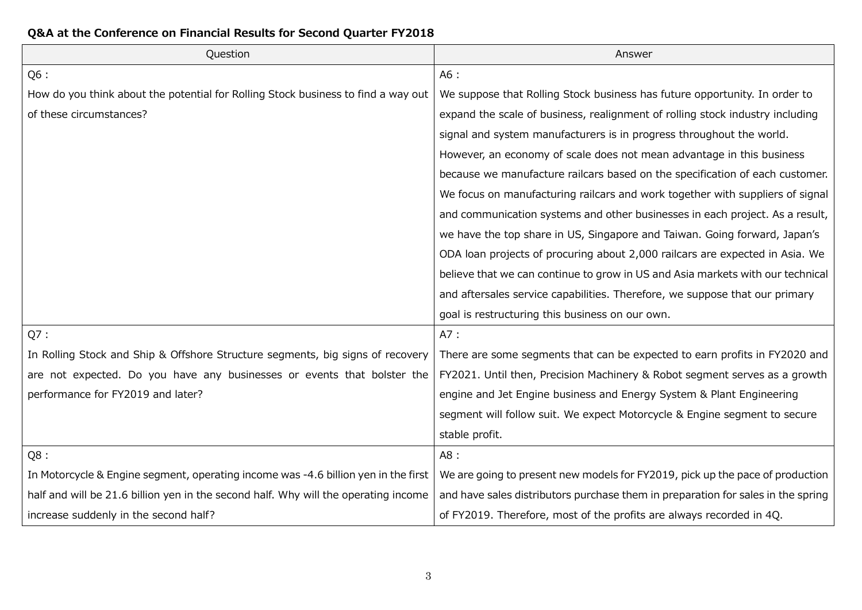| Question                                                                            | Answer                                                                           |
|-------------------------------------------------------------------------------------|----------------------------------------------------------------------------------|
| Q6 :                                                                                | A6 :                                                                             |
| How do you think about the potential for Rolling Stock business to find a way out   | We suppose that Rolling Stock business has future opportunity. In order to       |
| of these circumstances?                                                             | expand the scale of business, realignment of rolling stock industry including    |
|                                                                                     | signal and system manufacturers is in progress throughout the world.             |
|                                                                                     | However, an economy of scale does not mean advantage in this business            |
|                                                                                     | because we manufacture railcars based on the specification of each customer.     |
|                                                                                     | We focus on manufacturing railcars and work together with suppliers of signal    |
|                                                                                     | and communication systems and other businesses in each project. As a result,     |
|                                                                                     | we have the top share in US, Singapore and Taiwan. Going forward, Japan's        |
|                                                                                     | ODA loan projects of procuring about 2,000 railcars are expected in Asia. We     |
|                                                                                     | believe that we can continue to grow in US and Asia markets with our technical   |
|                                                                                     | and aftersales service capabilities. Therefore, we suppose that our primary      |
|                                                                                     | goal is restructuring this business on our own.                                  |
| Q7:                                                                                 | A7:                                                                              |
| In Rolling Stock and Ship & Offshore Structure segments, big signs of recovery      | There are some segments that can be expected to earn profits in FY2020 and       |
| are not expected. Do you have any businesses or events that bolster the             | FY2021. Until then, Precision Machinery & Robot segment serves as a growth       |
| performance for FY2019 and later?                                                   | engine and Jet Engine business and Energy System & Plant Engineering             |
|                                                                                     | segment will follow suit. We expect Motorcycle & Engine segment to secure        |
|                                                                                     | stable profit.                                                                   |
| Q8:                                                                                 | A8 :                                                                             |
| In Motorcycle & Engine segment, operating income was -4.6 billion yen in the first  | We are going to present new models for FY2019, pick up the pace of production    |
| half and will be 21.6 billion yen in the second half. Why will the operating income | and have sales distributors purchase them in preparation for sales in the spring |
| increase suddenly in the second half?                                               | of FY2019. Therefore, most of the profits are always recorded in 4Q.             |